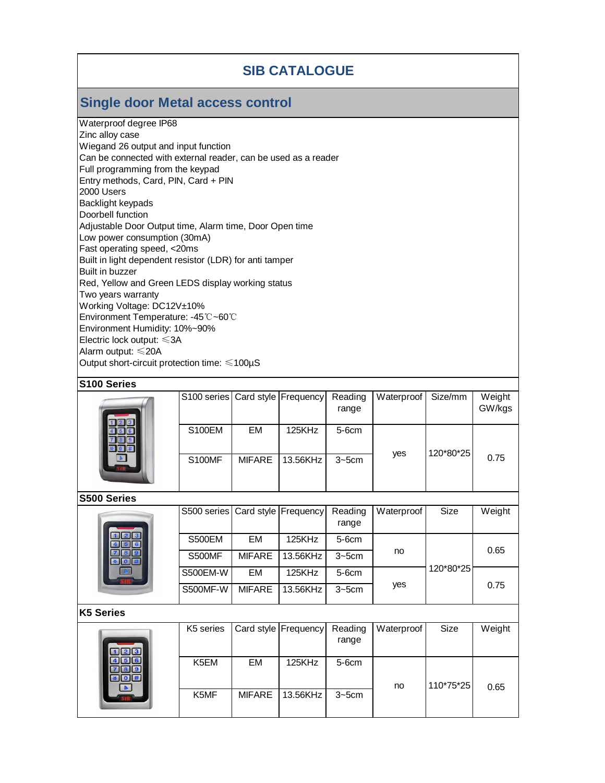## **SIB CATALOGUE**

## **Single door Metal access control**

Waterproof degree IP68 Zinc alloy case Wiegand 26 output and input function Can be connected with external reader, can be used as a reader Full programming from the keypad Entry methods, Card, PIN, Card + PIN 2000 Users Backlight keypads Doorbell function Adjustable Door Output time, Alarm time, Door Open time Low power consumption (30mA) Fast operating speed, <20ms Built in light dependent resistor (LDR) for anti tamper Built in buzzer Red, Yellow and Green LEDS display working status Two years warranty Working Voltage: DC12V±10% Environment Temperature: -45℃~60℃ Environment Humidity: 10%~90% Electric lock output: ≤3A Alarm output: ≤20A Output short-circuit protection time: ≤100µS

#### **S100 Series**

|  | S100 series Card style Frequency |               |          | Reading    | Waterproof | Size/mm   | Weight |
|--|----------------------------------|---------------|----------|------------|------------|-----------|--------|
|  |                                  |               |          | range      |            |           | GW/kgs |
|  | <b>S100EM</b>                    | EM            | 125KHz   | $5-6cm$    |            |           |        |
|  | <b>S100MF</b>                    | <b>MIFARE</b> | 13.56KHz | $3 - 5$ cm | yes        | 120*80*25 | 0.75   |
|  |                                  |               |          |            |            |           |        |

#### **S500 Series**

|  | S500 series   Card style   Frequency |               |          | Reading<br>range | Waterproof | Size      | Weight |
|--|--------------------------------------|---------------|----------|------------------|------------|-----------|--------|
|  | <b>S500EM</b>                        | EM            | 125KHz   | $5-6cm$          | no         | 120*80*25 | 0.65   |
|  | <b>S500MF</b>                        | <b>MIFARE</b> | 13.56KHz | $3 - 5$ cm       |            |           |        |
|  | <b>S500EM-W</b>                      | EM            | 125KHz   | $5-6cm$          | yes        |           | 0.75   |
|  | <b>S500MF-W</b>                      | <b>MIFARE</b> | 13.56KHz | $3 - 5$ cm       |            |           |        |

#### **K5 Series**

|  | K5 series         |               | Card style   Frequency | Reading    | Waterproof | Size      | Weight |
|--|-------------------|---------------|------------------------|------------|------------|-----------|--------|
|  |                   |               |                        | range      |            |           |        |
|  | K <sub>5</sub> EM | EM            | 125KHz                 | $5-6cm$    |            | 110*75*25 |        |
|  | K <sub>5</sub> MF | <b>MIFARE</b> | 13.56KHz               | $3 - 5$ cm | no         |           | 0.65   |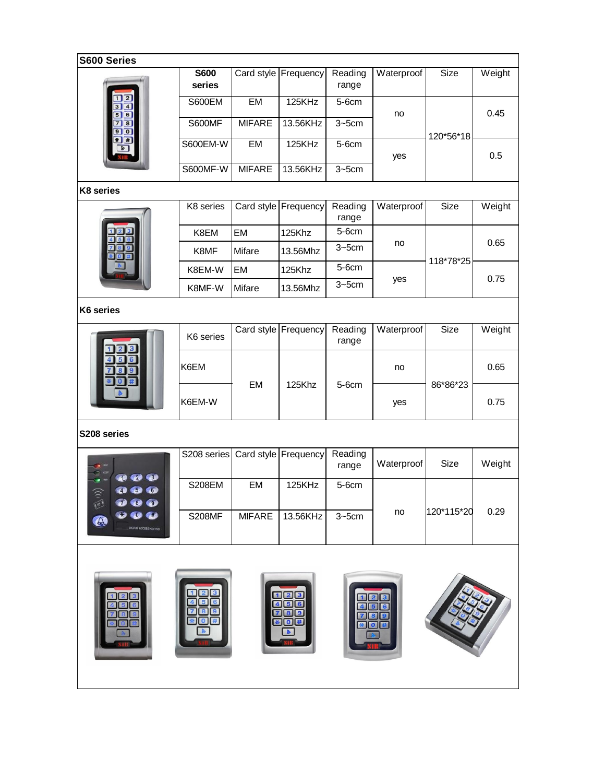| S600 Series                                                               |                       |               |                      |                  |            |            |        |  |  |
|---------------------------------------------------------------------------|-----------------------|---------------|----------------------|------------------|------------|------------|--------|--|--|
|                                                                           | <b>S600</b><br>series |               | Card style Frequency | Reading<br>range | Waterproof | Size       | Weight |  |  |
| $\overline{2}$<br>3 4                                                     | S600EM                | EM            | 125KHz               | 5-6cm            | no         |            | 0.45   |  |  |
| 5 6<br>78<br>90                                                           | <b>S600MF</b>         | <b>MIFARE</b> | 13.56KHz             | $3 - 5$ cm       |            |            |        |  |  |
| $\mathbf{H}$                                                              | <b>S600EM-W</b>       | EM            | 125KHz               | 5-6cm            |            | 120*56*18  | 0.5    |  |  |
|                                                                           | S600MF-W              | <b>MIFARE</b> | 13.56KHz             | $3 - 5$ cm       | yes        |            |        |  |  |
| K8 series                                                                 |                       |               |                      |                  |            |            |        |  |  |
|                                                                           | K8 series             |               | Card style Frequency | Reading<br>range | Waterproof | Size       | Weight |  |  |
|                                                                           | K8EM                  | EM            | 125Khz               | 5-6cm            |            |            |        |  |  |
|                                                                           | K8MF                  | <b>Mifare</b> | 13.56Mhz             | $3 - 5$ cm       | no         | 118*78*25  | 0.65   |  |  |
|                                                                           | K8EM-W                | EM            | 125Khz               | 5-6cm            |            |            |        |  |  |
|                                                                           | K8MF-W                | Mifare        | 13.56Mhz             | $3 - 5$ cm       | yes        |            | 0.75   |  |  |
| K6 series                                                                 |                       |               |                      |                  |            |            |        |  |  |
|                                                                           | K6 series             |               | Card style Frequency | Reading<br>range | Waterproof | Size       | Weight |  |  |
|                                                                           | K6EM                  | EM            | 125Khz               | 5-6cm            | no         | 86*86*23   | 0.65   |  |  |
|                                                                           | K6EM-W                |               |                      |                  | yes        |            | 0.75   |  |  |
| S208 series                                                               |                       |               |                      |                  |            |            |        |  |  |
|                                                                           | S208 series           |               | Card style Frequency | Reading<br>range | Waterproof | Size       | Weight |  |  |
| $\bullet$<br><b>Call</b><br><b>OO</b><br>Ø<br><b>CELE</b><br>$\mathbf{a}$ | <b>S208EM</b>         | EM            | 125KHz               | 5-6cm            |            |            |        |  |  |
| <b>STAL ACCESS KEYPA</b>                                                  | <b>S208MF</b>         | <b>MIFARE</b> | 13.56KHz             | $3 - 5$ cm       | no         | 120*115*20 | 0.29   |  |  |
|                                                                           |                       |               |                      |                  |            |            |        |  |  |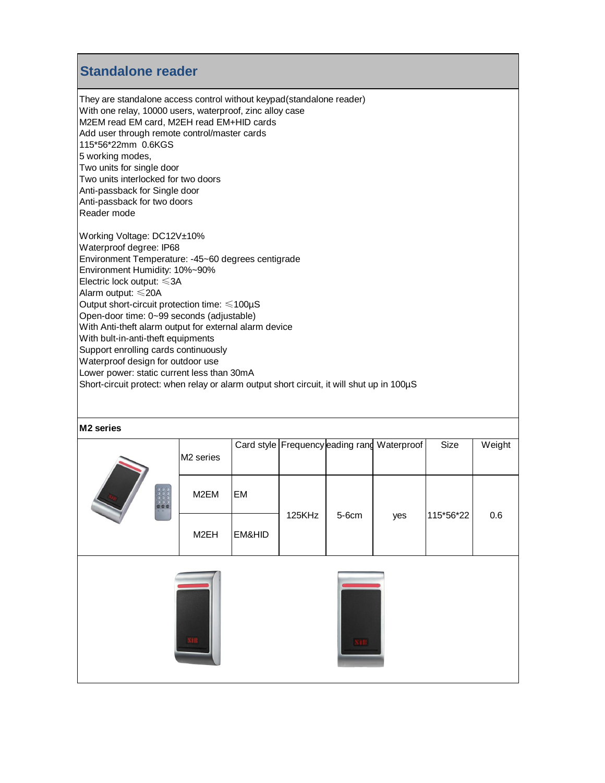## **Standalone reader**

They are standalone access control without keypad(standalone reader) With one relay, 10000 users, waterproof, zinc alloy case M2EM read EM card, M2EH read EM+HID cards Add user through remote control/master cards 115\*56\*22mm 0.6KGS 5 working modes, Two units for single door Two units interlocked for two doors Anti-passback for Single door Anti-passback for two doors Reader mode Working Voltage: DC12V±10% Waterproof degree: IP68 Environment Temperature: -45~60 degrees centigrade Environment Humidity: 10%~90%

Electric lock output: ≤3A Alarm output: ≤20A

Output short-circuit protection time: ≤100µS

Open-door time: 0~99 seconds (adjustable)

With Anti-theft alarm output for external alarm device

With bult-in-anti-theft equipments

Support enrolling cards continuously Waterproof design for outdoor use

Lower power: static current less than 30mA

Short-circuit protect: when relay or alarm output short circuit, it will shut up in 100µS

#### **M2 series**

| 0:0:0<br>$\begin{array}{c} 0.00 \\ 0.00 \\ \hline 0.00 \end{array}$ | M <sub>2</sub> series |           |        | Card style Frequency eading rang | Waterproof | Size      | Weight |
|---------------------------------------------------------------------|-----------------------|-----------|--------|----------------------------------|------------|-----------|--------|
|                                                                     | M2EM                  | <b>EM</b> | 125KHz | 5-6cm                            | yes        | 115*56*22 | 0.6    |
|                                                                     | M2EH                  | EM&HID    |        |                                  |            |           |        |
|                                                                     |                       |           |        |                                  |            |           |        |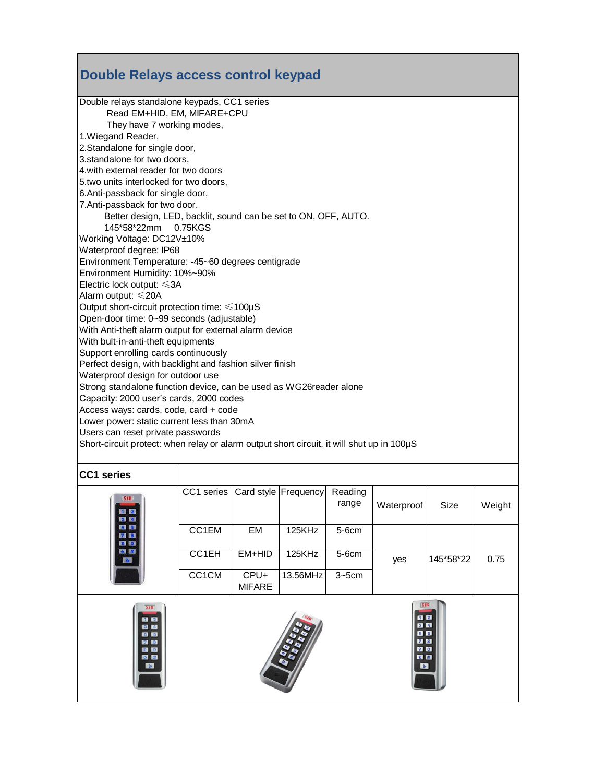# **Double Relays access control keypad**

| Double relays standalone keypads, CC1 series           |                                                                                           |
|--------------------------------------------------------|-------------------------------------------------------------------------------------------|
| Read EM+HID, EM, MIFARE+CPU                            |                                                                                           |
| They have 7 working modes,                             |                                                                                           |
| 1. Wiegand Reader,                                     |                                                                                           |
| 2.Standalone for single door,                          |                                                                                           |
| 3.standalone for two doors,                            |                                                                                           |
| 4. with external reader for two doors                  |                                                                                           |
| 5.two units interlocked for two doors,                 |                                                                                           |
| 6.Anti-passback for single door,                       |                                                                                           |
| 7.Anti-passback for two door.                          |                                                                                           |
|                                                        | Better design, LED, backlit, sound can be set to ON, OFF, AUTO.                           |
| 145*58*22mm 0.75KGS                                    |                                                                                           |
| Working Voltage: DC12V±10%                             |                                                                                           |
| Waterproof degree: IP68                                |                                                                                           |
|                                                        | Environment Temperature: -45~60 degrees centigrade                                        |
| Environment Humidity: 10%~90%                          |                                                                                           |
| Electric lock output: $\leq 3A$                        |                                                                                           |
| Alarm output: ≤20A                                     |                                                                                           |
| Output short-circuit protection time: $\leq 100 \mu S$ |                                                                                           |
| Open-door time: 0~99 seconds (adjustable)              |                                                                                           |
|                                                        | With Anti-theft alarm output for external alarm device                                    |
| With bult-in-anti-theft equipments                     |                                                                                           |
| Support enrolling cards continuously                   |                                                                                           |
|                                                        | Perfect design, with backlight and fashion silver finish                                  |
| Waterproof design for outdoor use                      |                                                                                           |
|                                                        | Strong standalone function device, can be used as WG26reader alone                        |
| Capacity: 2000 user's cards, 2000 codes                |                                                                                           |
| Access ways: cards, code, card + code                  |                                                                                           |
| Lower power: static current less than 30mA             |                                                                                           |
| Users can reset private passwords                      |                                                                                           |
|                                                        | Short-circuit protect: when relay or alarm output short circuit, it will shut up in 100µS |
|                                                        |                                                                                           |
| <b>CC1 series</b>                                      |                                                                                           |
|                                                        | CC1 series   Card style   Frequency   Reading                                             |
|                                                        |                                                                                           |

| <b>SHE</b><br>11 8 9<br>8 9 9 9                                                        | CC1 series |                       | Card style Frequency | Reading<br>range | Waterproof                                                             | Size      | Weight |
|----------------------------------------------------------------------------------------|------------|-----------------------|----------------------|------------------|------------------------------------------------------------------------|-----------|--------|
| 00                                                                                     | CC1EM      | EM                    | 125KHz               | 5-6cm            |                                                                        |           |        |
| <b>EXI KGI</b><br><b>IV</b>                                                            | CC1EH      | EM+HID                | 125KHz               | 5-6cm            | yes                                                                    | 145*58*22 | 0.75   |
|                                                                                        | CC1CM      | CPU+<br><b>MIFARE</b> | 13.56MHz             | $3 - 5$ cm       |                                                                        |           |        |
| <b>SIR</b><br>$\blacksquare$<br><b>B B</b><br>56<br><b>ZD</b><br>90<br>歌歌<br>$\bullet$ |            |                       | <b>BB</b>            |                  | $\blacksquare$<br>3 <sup>14</sup><br>56<br>78<br>90<br>大臣<br>$\bullet$ |           |        |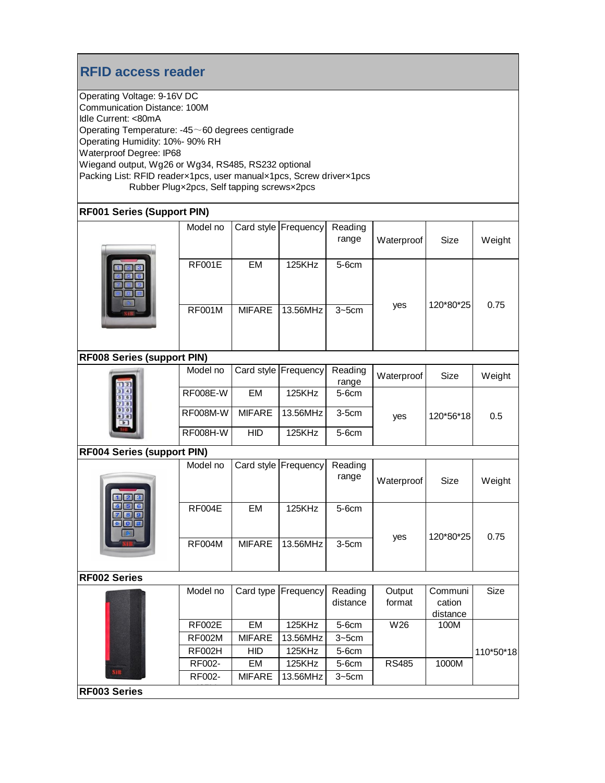## **RFID access reader**

Operating Voltage: 9-16V DC Communication Distance: 100M Idle Current: <80mA Operating Temperature: -45~60 degrees centigrade Operating Humidity: 10%- 90% RH Waterproof Degree: IP68 Wiegand output, Wg26 or Wg34, RS485, RS232 optional Packing List: RFID reader×1pcs, user manual×1pcs, Screw driver×1pcs Rubber Plug×2pcs, Self tapping screws×2pcs

### **RF001 Series (Support PIN)**

|                                   | Model no        |               | Card style Frequency | Reading<br>range    | Waterproof       | Size                          | Weight    |  |
|-----------------------------------|-----------------|---------------|----------------------|---------------------|------------------|-------------------------------|-----------|--|
|                                   | <b>RF001E</b>   | EM            | 125KHz               | 5-6cm               |                  |                               |           |  |
|                                   | <b>RF001M</b>   | <b>MIFARE</b> | 13.56MHz             | $3 - 5$ cm          | yes              | 120*80*25                     | 0.75      |  |
| <b>RF008 Series (support PIN)</b> |                 |               |                      |                     |                  |                               |           |  |
|                                   | Model no        |               | Card style Frequency | Reading<br>range    | Waterproof       | Size                          | Weight    |  |
|                                   | RF008E-W        | EM            | 125KHz               | 5-6cm               | yes              |                               |           |  |
|                                   | <b>RF008M-W</b> | <b>MIFARE</b> | 13.56MHz             | $3-5cm$             |                  | 120*56*18                     | 0.5       |  |
|                                   | RF008H-W        | <b>HID</b>    | 125KHz               | 5-6cm               |                  |                               |           |  |
| <b>RF004 Series (support PIN)</b> |                 |               |                      |                     |                  |                               |           |  |
|                                   | Model no        |               | Card style Frequency | Reading<br>range    | Waterproof       | Size                          | Weight    |  |
|                                   | <b>RF004E</b>   | EM            | 125KHz               | 5-6cm               | yes              | 120*80*25                     | 0.75      |  |
|                                   | <b>RF004M</b>   | <b>MIFARE</b> | 13.56MHz             | $3-5cm$             |                  |                               |           |  |
| <b>RF002 Series</b>               |                 |               |                      |                     |                  |                               |           |  |
|                                   | Model no        | Card type     | Frequency            | Reading<br>distance | Output<br>format | Communi<br>cation<br>distance | Size      |  |
|                                   | <b>RF002E</b>   | EM            | 125KHz               | 5-6cm               | W26              | 100M                          |           |  |
|                                   | <b>RF002M</b>   | <b>MIFARE</b> | 13.56MHz             | $3 - 5$ cm          |                  |                               |           |  |
|                                   | <b>RF002H</b>   | <b>HID</b>    | 125KHz               | 5-6cm               |                  |                               | 110*50*18 |  |
|                                   | RF002-          | EM            | 125KHz               | 5-6cm               | <b>RS485</b>     | 1000M                         |           |  |
| SIB                               | RF002-          | <b>MIFARE</b> | 13.56MHz             | $3 - 5$ cm          |                  |                               |           |  |
| <b>RF003 Series</b>               |                 |               |                      |                     |                  |                               |           |  |